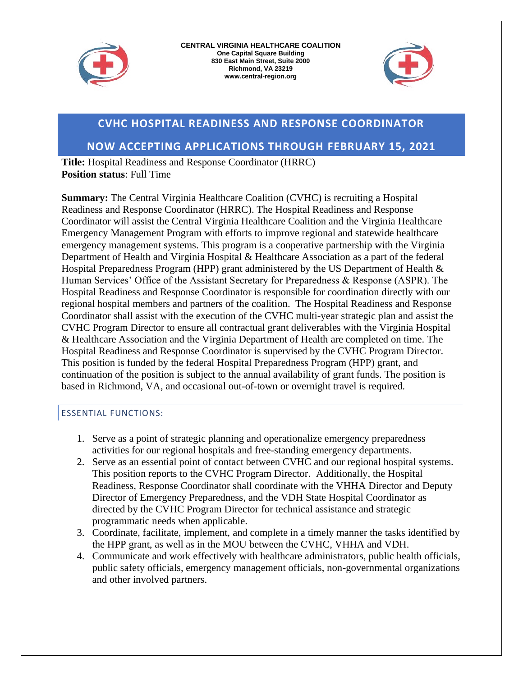



# **CVHC HOSPITAL READINESS AND RESPONSE COORDINATOR**

## **NOW ACCEPTING APPLICATIONS THROUGH FEBRUARY 15, 2021**

**Title:** Hospital Readiness and Response Coordinator (HRRC) **Position status**: Full Time

**Summary:** The Central Virginia Healthcare Coalition (CVHC) is recruiting a Hospital Readiness and Response Coordinator (HRRC). The Hospital Readiness and Response Coordinator will assist the Central Virginia Healthcare Coalition and the Virginia Healthcare Emergency Management Program with efforts to improve regional and statewide healthcare emergency management systems. This program is a cooperative partnership with the Virginia Department of Health and Virginia Hospital & Healthcare Association as a part of the federal Hospital Preparedness Program (HPP) grant administered by the US Department of Health & Human Services' Office of the Assistant Secretary for Preparedness & Response (ASPR). The Hospital Readiness and Response Coordinator is responsible for coordination directly with our regional hospital members and partners of the coalition. The Hospital Readiness and Response Coordinator shall assist with the execution of the CVHC multi-year strategic plan and assist the CVHC Program Director to ensure all contractual grant deliverables with the Virginia Hospital & Healthcare Association and the Virginia Department of Health are completed on time. The Hospital Readiness and Response Coordinator is supervised by the CVHC Program Director. This position is funded by the federal Hospital Preparedness Program (HPP) grant, and continuation of the position is subject to the annual availability of grant funds. The position is based in Richmond, VA, and occasional out-of-town or overnight travel is required.

### ESSENTIAL FUNCTIONS:

- 1. Serve as a point of strategic planning and operationalize emergency preparedness activities for our regional hospitals and free-standing emergency departments.
- 2. Serve as an essential point of contact between CVHC and our regional hospital systems. This position reports to the CVHC Program Director. Additionally, the Hospital Readiness, Response Coordinator shall coordinate with the VHHA Director and Deputy Director of Emergency Preparedness, and the VDH State Hospital Coordinator as directed by the CVHC Program Director for technical assistance and strategic programmatic needs when applicable.
- 3. Coordinate, facilitate, implement, and complete in a timely manner the tasks identified by the HPP grant, as well as in the MOU between the CVHC, VHHA and VDH.
- 4. Communicate and work effectively with healthcare administrators, public health officials, public safety officials, emergency management officials, non-governmental organizations and other involved partners.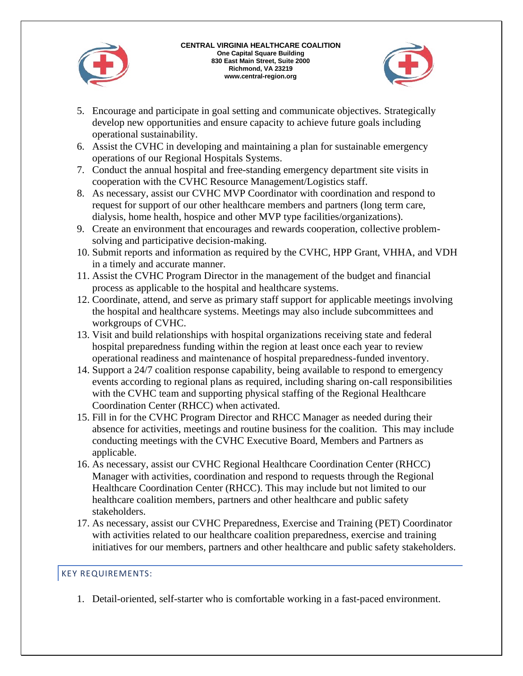



- 5. Encourage and participate in goal setting and communicate objectives. Strategically develop new opportunities and ensure capacity to achieve future goals including operational sustainability.
- 6. Assist the CVHC in developing and maintaining a plan for sustainable emergency operations of our Regional Hospitals Systems.
- 7. Conduct the annual hospital and free-standing emergency department site visits in cooperation with the CVHC Resource Management/Logistics staff.
- 8. As necessary, assist our CVHC MVP Coordinator with coordination and respond to request for support of our other healthcare members and partners (long term care, dialysis, home health, hospice and other MVP type facilities/organizations).
- 9. Create an environment that encourages and rewards cooperation, collective problemsolving and participative decision-making.
- 10. Submit reports and information as required by the CVHC, HPP Grant, VHHA, and VDH in a timely and accurate manner.
- 11. Assist the CVHC Program Director in the management of the budget and financial process as applicable to the hospital and healthcare systems.
- 12. Coordinate, attend, and serve as primary staff support for applicable meetings involving the hospital and healthcare systems. Meetings may also include subcommittees and workgroups of CVHC.
- 13. Visit and build relationships with hospital organizations receiving state and federal hospital preparedness funding within the region at least once each year to review operational readiness and maintenance of hospital preparedness-funded inventory.
- 14. Support a 24/7 coalition response capability, being available to respond to emergency events according to regional plans as required, including sharing on-call responsibilities with the CVHC team and supporting physical staffing of the Regional Healthcare Coordination Center (RHCC) when activated.
- 15. Fill in for the CVHC Program Director and RHCC Manager as needed during their absence for activities, meetings and routine business for the coalition. This may include conducting meetings with the CVHC Executive Board, Members and Partners as applicable.
- 16. As necessary, assist our CVHC Regional Healthcare Coordination Center (RHCC) Manager with activities, coordination and respond to requests through the Regional Healthcare Coordination Center (RHCC). This may include but not limited to our healthcare coalition members, partners and other healthcare and public safety stakeholders.
- 17. As necessary, assist our CVHC Preparedness, Exercise and Training (PET) Coordinator with activities related to our healthcare coalition preparedness, exercise and training initiatives for our members, partners and other healthcare and public safety stakeholders.

### KEY REQUIREMENTS:

1. Detail-oriented, self-starter who is comfortable working in a fast-paced environment.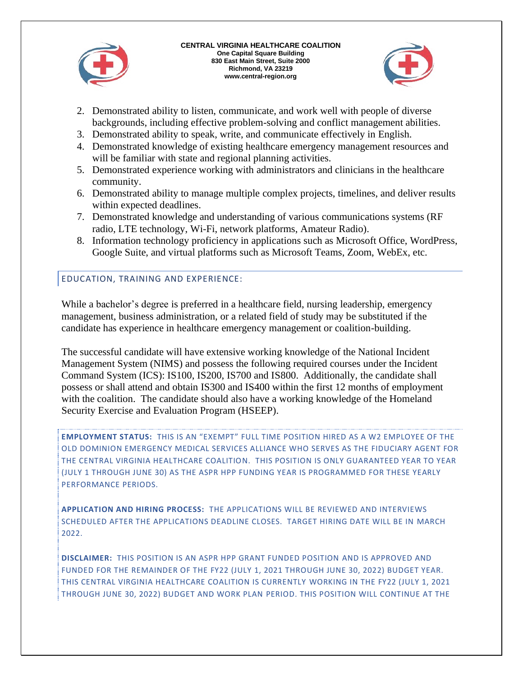

#### **CENTRAL VIRGINIA HEALTHCARE COALITION One Capital Square Building 830 East Main Street, Suite 2000 Richmond, VA 23219 www.central-region.org**



- 2. Demonstrated ability to listen, communicate, and work well with people of diverse backgrounds, including effective problem-solving and conflict management abilities.
- 3. Demonstrated ability to speak, write, and communicate effectively in English.
- 4. Demonstrated knowledge of existing healthcare emergency management resources and will be familiar with state and regional planning activities.
- 5. Demonstrated experience working with administrators and clinicians in the healthcare community.
- 6. Demonstrated ability to manage multiple complex projects, timelines, and deliver results within expected deadlines.
- 7. Demonstrated knowledge and understanding of various communications systems (RF radio, LTE technology, Wi-Fi, network platforms, Amateur Radio).
- 8. Information technology proficiency in applications such as Microsoft Office, WordPress, Google Suite, and virtual platforms such as Microsoft Teams, Zoom, WebEx, etc.

## EDUCATION, TRAINING AND EXPERIENCE:

While a bachelor's degree is preferred in a healthcare field, nursing leadership, emergency management, business administration, or a related field of study may be substituted if the candidate has experience in healthcare emergency management or coalition-building.

The successful candidate will have extensive working knowledge of the National Incident Management System (NIMS) and possess the following required courses under the Incident Command System (ICS): IS100, IS200, IS700 and IS800. Additionally, the candidate shall possess or shall attend and obtain IS300 and IS400 within the first 12 months of employment with the coalition. The candidate should also have a working knowledge of the Homeland Security Exercise and Evaluation Program (HSEEP).

**EMPLOYMENT STATUS:** THIS IS AN "EXEMPT" FULL TIME POSITION HIRED AS A W2 EMPLOYEE OF THE OLD DOMINION EMERGENCY MEDICAL SERVICES ALLIANCE WHO SERVES AS THE FIDUCIARY AGENT FOR THE CENTRAL VIRGINIA HEALTHCARE COALITION. THIS POSITION IS ONLY GUARANTEED YEAR TO YEAR (JULY 1 THROUGH JUNE 30) AS THE ASPR HPP FUNDING YEAR IS PROGRAMMED FOR THESE YEARLY PERFORMANCE PERIODS.

**APPLICATION AND HIRING PROCESS:** THE APPLICATIONS WILL BE REVIEWED AND INTERVIEWS SCHEDULED AFTER THE APPLICATIONS DEADLINE CLOSES. TARGET HIRING DATE WILL BE IN MARCH 2022.

**DISCLAIMER:** THIS POSITION IS AN ASPR HPP GRANT FUNDED POSITION AND IS APPROVED AND FUNDED FOR THE REMAINDER OF THE FY22 (JULY 1, 2021 THROUGH JUNE 30, 2022) BUDGET YEAR. THIS CENTRAL VIRGINIA HEALTHCARE COALITION IS CURRENTLY WORKING IN THE FY22 (JULY 1, 2021 THROUGH JUNE 30, 2022) BUDGET AND WORK PLAN PERIOD. THIS POSITION WILL CONTINUE AT THE